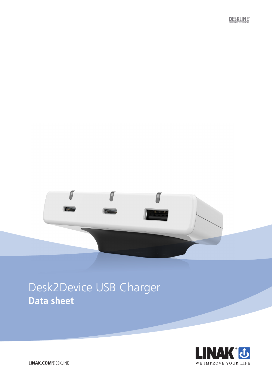**DESKLINE** 



# Desk2Device USB Charger **Data sheet**

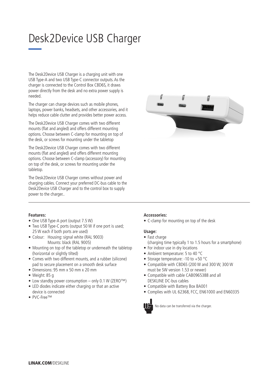# Desk2Device USB Charger

The Desk2Device USB Charger is a charging unit with one USB Type-A and two USB Type-C connector outputs. As the charger is connected to the Control Box CBD6S, it draws power directly from the desk and no extra power supply is needed.

The charger can charge devices such as mobile phones, laptops, power banks, headsets, and other accessories, and it helps reduce cable clutter and provides better power access.

The Desk2Device USB Charger comes with two different mounts (flat and angled) and offers different mounting options. Choose between C-clamp for mounting on top of the desk, or screws for mounting under the tabletop

The Desk2Device USB Charger comes with two different mounts (flat and angled) and offers different mounting options. Choose between C-clamp (accessory) for mounting on top of the desk, or screws for mounting under the tabletop.

The Desk2Device USB Charger comes without power and charging cables. Connect your preferred DC-bus cable to the Desk2Device USB Charger and to the control box to supply power to the charger..



## **Features:**

- One USB Type-A port (output 7.5 W)
- Two USB Type-C ports (output 50 W if one port is used; 25 W each if both ports are used)
- Colour: Housing: signal white (RAL 9003) Mounts: black (RAL 9005)
- Mounting on top of the tabletop or underneath the tabletop (horizontal or slightly tilted)
- Comes with two different mounts, and a rubber (silicone) pad to secure placement on a smooth desk surface
- Dimensions: 95 mm x 50 mm x 20 mm
- Weight: 85 g
- Low standby power consumption only 0.1 W (ZERO™)
- LED diodes indicate either charging or that an active device is connected
- PVC-Free™

## **Accessories:**

• C-clamp for mounting on top of the desk

## **Usage:**

- Fast charge
- (charging time typically 1 to 1.5 hours for a smartphone)
- For indoor use in dry locations
- Ambient temperature: 5 to 40 °C
- Storage temperature: -10 to +50 °C
- Compatible with CBD6S (200 W and 300 W; 300 W must be SW version 1.53 or newer)
- Compatible with cable CAB0965388 and all DESKLINE DC-bus cables
- Compatible with Battery Box BA001
- Complies with UL 62368, FCC, EN61000 and EN60335



No data can be transferred via the charger.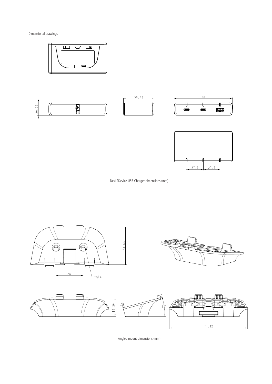Dimensional drawings **2008** 











Desk2Device USB Charger dimensions (mm)



Angled mount dimensions (mm)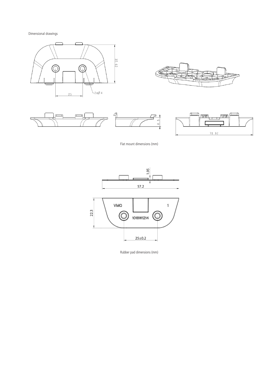Dimensional drawings











Flat mount dimensions (mm)



Rubber pad dimensions (mm)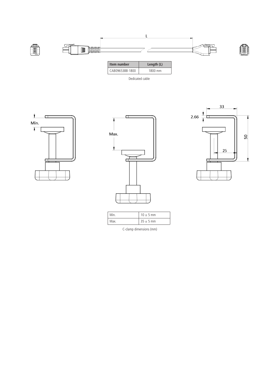

| CAB0965388-1800 | 1800.<br>mm |
|-----------------|-------------|
|                 |             |

Dedicated cable







|  | $10 \pm 5$ mm |  |  |
|--|---------------|--|--|
|  | $35 \pm 5$ mm |  |  |

C-clamp dimensions (mm)